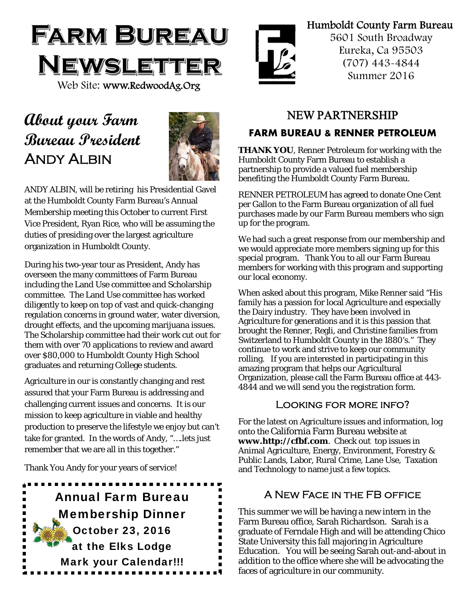

# **About your Farm Bureau President**  Andy Albin



ANDY ALBIN, will be retiring his Presidential Gavel at the Humboldt County Farm Bureau's Annual Membership meeting this October to current First Vice President, Ryan Rice, who will be assuming the duties of presiding over the largest agriculture organization in Humboldt County.

During his two-year tour as President, Andy has overseen the many committees of Farm Bureau including the Land Use committee and Scholarship committee. The Land Use committee has worked diligently to keep on top of vast and quick-changing regulation concerns in ground water, water diversion, drought effects, and the upcoming marijuana issues. The Scholarship committee had their work cut out for them with over 70 applications to review and award over \$80,000 to Humboldt County High School graduates and returning College students.

Agriculture in our is constantly changing and rest assured that your Farm Bureau is addressing and challenging current issues and concerns. It is our mission to keep agriculture in viable and healthy production to preserve the lifestyle we enjoy but can't take for granted. In the words of Andy, "….lets just remember that we are all in this together."

Thank You Andy for your years of service!





### Humboldt County Farm Bureau

5601 South Broadway Eureka, Ca 95503 (707) 443-4844 Summer 2016

### NEW PARTNERSHIP

### **FARM BUREAU & RENNER PETROLEUM**

**THANK YOU**, Renner Petroleum for working with the Humboldt County Farm Bureau to establish a partnership to provide a valued fuel membership benefiting the Humboldt County Farm Bureau.

RENNER PETROLEUM has agreed to donate One Cent per Gallon to the Farm Bureau organization of all fuel purchases made by our Farm Bureau members who sign up for the program.

We had such a great response from our membership and we would appreciate more members signing up for this special program. Thank You to all our Farm Bureau members for working with this program and supporting our local economy.

When asked about this program, Mike Renner said "His family has a passion for local Agriculture and especially the Dairy industry. They have been involved in Agriculture for generations and it is this passion that brought the Renner, Regli, and Christine families from Switzerland to Humboldt County in the 1880's." They continue to work and strive to keep our community rolling. If you are interested in participating in this amazing program that helps our Agricultural Organization, please call the Farm Bureau office at 443- 4844 and we will send you the registration form.

#### Looking for more info?

For the latest on Agriculture issues and information, log onto the California Farm Bureau website at **www.http://cfbf.com**. Check out top issues in Animal Agriculture, Energy, Environment, Forestry & Public Lands, Labor, Rural Crime, Lane Use, Taxation and Technology to name just a few topics.

#### A New Face in the FB office

This summer we will be having a new intern in the Farm Bureau office, Sarah Richardson. Sarah is a graduate of Ferndale High and will be attending Chico State University this fall majoring in Agriculture Education. You will be seeing Sarah out-and-about in addition to the office where she will be advocating the faces of agriculture in our community.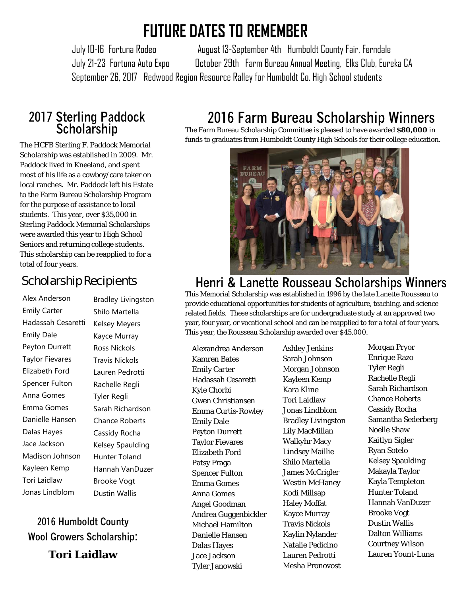# **FUTURE DATES TO REMEMBER**

 July 10-16 Fortuna Rodeo August 13-September 4th Humboldt County Fair, Ferndale July 21-23 Fortuna Auto Expo October 29th Farm Bureau Annual Meeting, Elks Club, Eureka CA September 26, 2017 Redwood Region Resource Ralley for Humboldt Co. High School students

# **2017 Sterling Paddock Scholarship**

The HCFB Sterling F. Paddock Memorial Scholarship was established in 2009. Mr. Paddock lived in Kneeland, and spent most of his life as a cowboy/care taker on local ranches. Mr. Paddock left his Estate to the Farm Bureau Scholarship Program for the purpose of assistance to local students. This year, over \$35,000 in Sterling Paddock Memorial Scholarships were awarded this year to High School Seniors and returning college students. This scholarship can be reapplied to for a total of four years.

### Scholarship Recipients

Alex Anderson Emily Carter Hadassah Cesaretti Emily Dale Peyton Durrett Taylor Fievares Elizabeth Ford Spencer Fulton Anna Gomes Emma Gomes Danielle Hansen Dalas Hayes Jace Jackson Madison Johnson Kayleen Kemp Tori Laidlaw Jonas Lindblom

Bradley Livingston Shilo Martella Kelsey Meyers Kayce Murray Ross Nickols Travis Nickols Lauren Pedrotti Rachelle Regli Tyler Regli Sarah Richardson Chance Roberts Cassidy Rocha Kelsey Spaulding Hunter Toland Hannah VanDuzer Brooke Vogt Dustin Wallis

# **2016 Humboldt County Wool Growers Scholarship:**

**Tori Laidlaw** 

# **2016 Farm Bureau Scholarship Winners**

The Farm Bureau Scholarship Committee is pleased to have awarded **\$80,000** in funds to graduates from Humboldt County High Schools for their college education.



# **Henri & Lanette Rousseau Scholarships Winners**

This Memorial Scholarship was established in 1996 by the late Lanette Rousseau to provide educational opportunities for students of agriculture, teaching, and science related fields. These scholarships are for undergraduate study at an approved two year, four year, or vocational school and can be reapplied to for a total of four years. This year, the Rousseau Scholarship awarded over \$45,000.

Alexandrea Anderson Kamren Bates Emily Carter Hadassah Cesaretti Kyle Chorbi Gwen Christiansen Emma Curtis-Rowley Emily Dale Peyton Durrett Taylor Fievares Elizabeth Ford Patsy Fraga Spencer Fulton Emma Gomes Anna Gomes Angel Goodman Andrea Guggenbickler Michael Hamilton Danielle Hansen Dalas Hayes Jace Jackson Tyler Janowski

Ashley Jenkins Sarah Johnson Morgan Johnson Kayleen Kemp Kara Kline Tori Laidlaw Jonas Lindblom Bradley Livingston Lily MacMillan Walkyhr Macy Lindsey Maillie Shilo Martella James McCrigler Westin McHaney Kodi Millsap Haley Moffat Kayce Murray Travis Nickols Kaylin Nylander Natalie Pedicino Lauren Pedrotti Mesha Pronovost

Morgan Pryor Enrique Razo Tyler Regli Rachelle Regli Sarah Richardson Chance Roberts Cassidy Rocha Samantha Sederberg Noelle Shaw Kaitlyn Sigler Ryan Sotelo Kelsey Spaulding Makayla Taylor Kayla Templeton Hunter Toland Hannah VanDuzer Brooke Vogt Dustin Wallis Dalton Williams Courtney Wilson Lauren Yount-Luna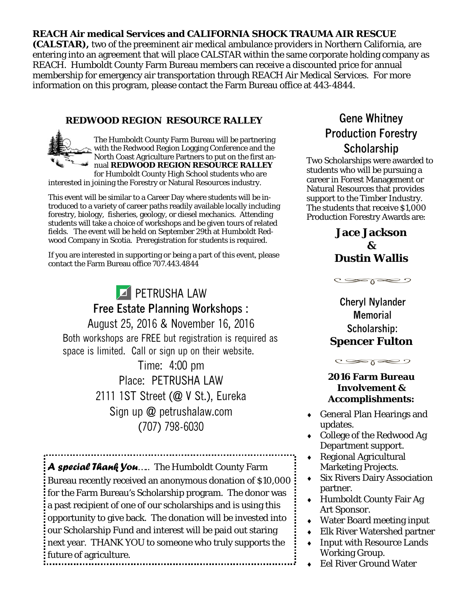#### **REACH Air medical Services and CALIFORNIA SHOCK TRAUMA AIR RESCUE**

**(CALSTAR),** two of the preeminent air medical ambulance providers in Northern California, are entering into an agreement that will place CALSTAR within the same corporate holding company as REACH. Humboldt County Farm Bureau members can receive a discounted price for annual membership for emergency air transportation through REACH Air Medical Services. For more information on this program, please contact the Farm Bureau office at 443-4844.

#### **REDWOOD REGION RESOURCE RALLEY**

The Humboldt County Farm Bureau will be partnering with the Redwood Region Logging Conference and the North Coast Agriculture Partners to put on the first annual **REDWOOD REGION RESOURCE RALLEY**  for Humboldt County High School students who are

interested in joining the Forestry or Natural Resources industry.

This event will be similar to a Career Day where students will be introduced to a variety of career paths readily available locally including forestry, biology, fisheries, geology, or diesel mechanics. Attending students will take a choice of workshops and be given tours of related fields. The event will be held on September 29th at Humboldt Redwood Company in Scotia. Preregistration for students is required.

If you are interested in supporting or being a part of this event, please contact the Farm Bureau office 707.443.4844

**PETRUSHA LAW Free Estate Planning Workshops :**  August 25, 2016 & November 16, 2016 Both workshops are FREE but registration is required as space is limited. Call or sign up on their website. Time: 4:00 pm

Place: PETRUSHA LAW 2111 1ST Street (@ V St.), Eureka Sign up @ petrushalaw.com (707) 798-6030

*A special Thank You*….. The Humboldt County Farm Bureau recently received an anonymous donation of \$10,000 for the Farm Bureau's Scholarship program. The donor was a past recipient of one of our scholarships and is using this opportunity to give back. The donation will be invested into our Scholarship Fund and interest will be paid out staring next year. THANK YOU to someone who truly supports the future of agriculture.

### **Gene Whitney Production Forestry Scholarship**

Two Scholarships were awarded to students who will be pursuing a career in Forest Management or Natural Resources that provides support to the Timber Industry. The students that receive \$1,000 Production Forestry Awards are:

#### **Jace Jackson & Dustin Wallis**

 $C \infty$ 

**Cheryl Nylander Memorial Scholarship: Spencer Fulton** 

 $C \implies \neg \neg \neg \neg \neg$ 

#### **2016 Farm Bureau Involvement & Accomplishments:**

- General Plan Hearings and updates.
- College of the Redwood Ag Department support.
- Regional Agricultural Marketing Projects.
- Six Rivers Dairy Association partner.
- Humboldt County Fair Ag Art Sponsor.
- Water Board meeting input
- Elk River Watershed partner
- Input with Resource Lands Working Group.
- Eel River Ground Water